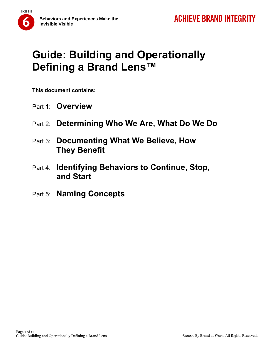



**This document contains:** 

- Part 1: **Overview**
- Part 2: **Determining Who We Are, What Do We Do**
- Part 3: **Documenting What We Believe, How They Benefit**
- Part 4: **Identifying Behaviors to Continue, Stop, and Start**
- Part 5: **Naming Concepts**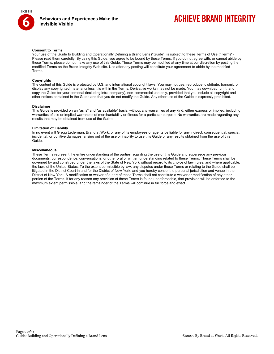

## **ACHIEVE BRAND INTEGRITY**

#### **Consent to Terms**

Your use of the Guide to Building and Operationally Defining a Brand Lens ("Guide") is subject to these Terms of Use ("Terms"). Please read them carefully. By using this Guide, you agree to be bound by these Terms. If you do not agree with, or cannot abide by these Terms, please do not make any use of this Guide. These Terms may be modified at any time at our discretion by posting the modified Terms on the Brand Integrity Web site. Use after any posting will constitute your agreement to abide by the modified Terms.

#### **Copyrights**

The content of this Guide is protected by U.S. and international copyright laws. You may not use, reproduce, distribute, transmit, or display any copyrighted material unless it is within the Terms. Derivative works may not be made. You may download, print, and copy the Guide for your personal (including intra-company), non-commercial use only, provided that you include all copyright and other notices contained in the Guide and that you do not modify the Guide. Any other use of the Guide is expressly prohibited.

#### **Disclaimer**

This Guide is provided on an "as is" and "as available" basis, without any warranties of any kind, either express or implied, including warranties of title or implied warranties of merchantability or fitness for a particular purpose. No warranties are made regarding any results that may be obtained from use of the Guide.

#### **Limitation of Liability**

In no event will Gregg Lederman, Brand at Work, or any of its employees or agents be liable for any indirect, consequential, special, incidental, or punitive damages, arising out of the use or inability to use this Guide or any results obtained from the use of this Guide.

#### **Miscellaneous**

These Terms represent the entire understanding of the parties regarding the use of this Guide and supersede any previous documents, correspondence, conversations, or other oral or written understanding related to these Terms. These Terms shall be governed by and construed under the laws of the State of New York without regard to its choice of law, rules, and where applicable, the laws of the United States. To the extent permissible by law, any disputes under these Terms or relating to the Guide shall be litigated in the District Court in and for the District of New York, and you hereby consent to personal jurisdiction and venue in the District of New York. A modification or waiver of a part of these Terms shall not constitute a waiver or modification of any other portion of the Terms. If for any reason any provision of these Terms is found unenforceable, that provision will be enforced to the maximum extent permissible, and the remainder of the Terms will continue in full force and effect.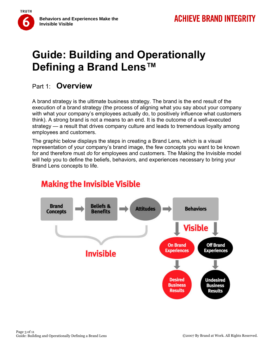### Part 1: **Overview**

**TRUTH** 

A brand strategy is the ultimate business strategy. The brand is the end result of the execution of a brand strategy (the process of aligning what you say about your company with what your company's employees actually do, to positively influence what customers think). A strong brand is not a means to an end. It is the outcome of a well-executed strategy — a result that drives company culture and leads to tremendous loyalty among employees and customers.

The graphic below displays the steps in creating a Brand Lens, which is a visual representation of your company's brand image, the few concepts you want to be known for and therefore must *do* for employees and customers. The Making the Invisible model will help you to define the beliefs, behaviors, and experiences necessary to bring your Brand Lens concepts to life.



## **Making the Invisible Visible**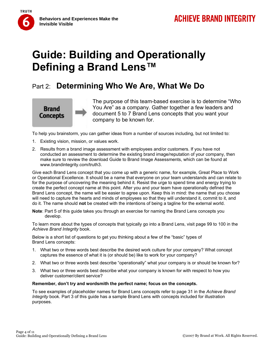

## Part 2: **Determining Who We Are, What We Do**



**TRUTH** 

The purpose of this team-based exercise is to determine "Who You Are" as a company. Gather together a few leaders and document 5 to 7 Brand Lens concepts that you want your company to be known for.

To help you brainstorm, you can gather ideas from a number of sources including, but not limited to:

- 1. Existing vision, mission, or values work.
- 2. Results from a brand image assessment with employees and/or customers. If you have not conducted an assessment to determine the existing brand image/reputation of your company, then make sure to review the download Guide to Brand Image Assessments, which can be found at www.brandintegrity.com/truth3.

Give each Brand Lens concept that you come up with a generic name, for example, Great Place to Work or Operational Excellence. It should be a name that everyone on your team understands and can relate to for the purpose of uncovering the meaning behind it. Resist the urge to spend time and energy trying to create the perfect concept name at this point. After you and your team have operationally defined the Brand Lens concept, the name will be easier to agree upon. Keep this in mind: the name that you choose will need to capture the hearts and minds of employees so that they will understand it, commit to it, and do it. The name should **not** be created with the intentions of being a tagline for the external world.

**Note**: Part 5 of this guide takes you through an exercise for naming the Brand Lens concepts you develop.

To learn more about the types of concepts that typically go into a Brand Lens, visit page 99 to 100 in the *Achieve Brand Integrity* book.

Below is a short list of questions to get you thinking about a few of the "basic" types of Brand Lens concepts:

- 1. What two or three words best describe the desired work culture for your company? What concept captures the essence of what it is (or should be) like to work for your company?
- 2. What two or three words best describe "operationally" what your company is or should be known for?
- 3. What two or three words best describe what your company is known for with respect to how you deliver customer/client service?

#### **Remember, don't try and wordsmith the perfect name; focus on the concepts.**

To see examples of placeholder names for Brand Lens concepts refer to page 31 in the *Achieve Brand Integrity* book. Part 3 of this guide has a sample Brand Lens with concepts included for illustration purposes.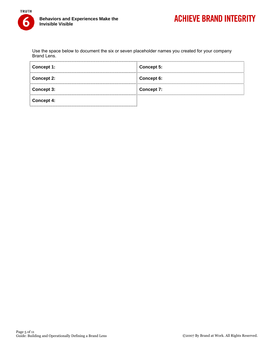

Use the space below to document the six or seven placeholder names you created for your company Brand Lens.

| Concept 1:        | <b>Concept 5:</b> |
|-------------------|-------------------|
| <b>Concept 2:</b> | Concept 6:        |
| <b>Concept 3:</b> | <b>Concept 7:</b> |
| Concept 4:        |                   |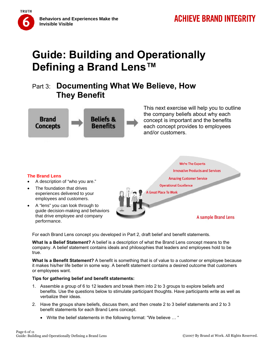

## Part 3: **Documenting What We Believe, How They Benefit**



This next exercise will help you to outline the company beliefs about why each concept is important and the benefits each concept provides to employees and/or customers.

### **The Brand Lens**

- A description of "who you are."
- The foundation that drives experiences delivered to your employees and customers.
- A "lens" you can look through to guide decision-making and behaviors that drive employee and company performance.

**We're The Experts Innovative Products and Services Amazing Customer Service Operational Excellence** 

**A Great Place To Work** 

**A sample Brand Lens** 

For each Brand Lens concept you developed in Part 2, draft belief and benefit statements.

**What Is a Belief Statement?** A belief is a description of what the Brand Lens concept means to the company. A belief statement contains ideals and philosophies that leaders and employees hold to be true.

**What Is a Benefit Statement?** A benefit is something that is of value to a customer or employee because it makes his/her life better in some way. A benefit statement contains a desired outcome that customers or employees want.

#### **Tips for gathering belief and benefit statements:**

- 1. Assemble a group of 6 to 12 leaders and break them into 2 to 3 groups to explore beliefs and benefits. Use the questions below to stimulate participant thoughts. Have participants write as well as verbalize their ideas.
- 2. Have the groups share beliefs, discuss them, and then create 2 to 3 belief statements and 2 to 3 benefit statements for each Brand Lens concept.
	- Write the belief statements in the following format: "We believe … "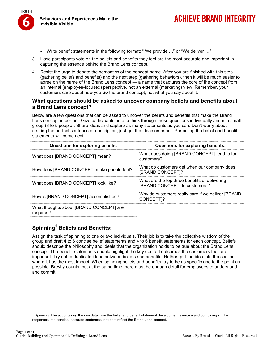

**Behaviors and Experiences Make the Invisible Visible** 

- Write benefit statements in the following format: "We provide ..." or "We deliver ..."
- 3. Have participants vote on the beliefs and benefits they feel are the most accurate and important in capturing the essence behind the Brand Lens concept.
- 4. Resist the urge to debate the semantics of the concept name. After you are finished with this step (gathering beliefs and benefits) and the next step (gathering behaviors), then it will be much easier to agree on the name of the Brand Lens concept — a name that captures the core of the concept from an internal (employee-focused) perspective, not an external (marketing) view. Remember, your customers care about how you *do* the brand concept, not what you say about it.

#### **What questions should be asked to uncover company beliefs and benefits about a Brand Lens concept?**

Below are a few questions that can be asked to uncover the beliefs and benefits that make the Brand Lens concept important. Give participants time to think through these questions individually and in a small group (3 to 5 people). Share ideas and capture as many statements as you can. Don't worry about crafting the perfect sentence or description, just get the ideas on paper. Perfecting the belief and benefit statements will come next.

| <b>Questions for exploring beliefs:</b>              | <b>Questions for exploring benefits:</b>                                       |
|------------------------------------------------------|--------------------------------------------------------------------------------|
| What does [BRAND CONCEPT] mean?                      | What does doing [BRAND CONCEPT] lead to for<br>customers?                      |
| How does [BRAND CONCEPT] make people feel?           | What do customers get when our company does<br>[BRAND CONCEPT]?                |
| What does [BRAND CONCEPT] look like?                 | What are the top three benefits of delivering<br>[BRAND CONCEPT] to customers? |
| How is [BRAND CONCEPT] accomplished?                 | Why do customers really care if we deliver [BRAND<br>CONCEPT]?                 |
| What thoughts about [BRAND CONCEPT] are<br>required? |                                                                                |

### **Spinning1 Beliefs and Benefits:**

Assign the task of spinning to one or two individuals. Their job is to take the collective wisdom of the group and draft 4 to 6 concise belief statements and 4 to 6 benefit statements for each concept. Beliefs should describe the philosophy and ideals that the organization holds to be true about the Brand Lens concept. The benefit statements should highlight the key desired outcomes the customers feel are important. Try not to duplicate ideas between beliefs and benefits. Rather, put the idea into the section where it has the most impact. When spinning beliefs and benefits, try to be as specific and to the point as possible. Brevity counts, but at the same time there must be enough detail for employees to understand and commit.

 $1$  Spinning: The act of taking the raw data from the belief and benefit statement development exercise and combining similar responses into concise, accurate sentences that best reflect the Brand Lens concept.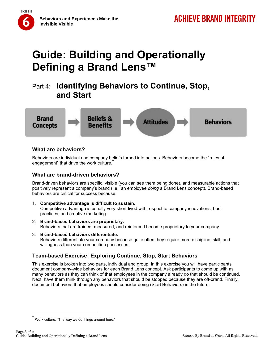

## Part 4: **Identifying Behaviors to Continue, Stop, and Start**



#### **What are behaviors?**

Behaviors are individual and company beliefs turned into actions. Behaviors become the "rules of engagement" that drive the work culture.<sup>2</sup>

#### **What are brand-driven behaviors?**

Brand-driven behaviors are specific, visible (you can see them being done), and measurable actions that positively represent a company's brand (i.e., an employee *doing* a Brand Lens concept). Brand-based behaviors are critical for success because:

- 1. **Competitive advantage is difficult to sustain.** Competitive advantage is usually very short-lived with respect to company innovations, best practices, and creative marketing.
- 2. **Brand-based behaviors are proprietary.** Behaviors that are trained, measured, and reinforced become proprietary to your company.
- 3. **Brand-based behaviors differentiate.** Behaviors differentiate your company because quite often they require more discipline, skill, and willingness than your competition possesses.

### **Team-based Exercise: Exploring Continue, Stop, Start Behaviors**

This exercise is broken into two parts, individual and group. In this exercise you will have participants document company-wide behaviors for each Brand Lens concept. Ask participants to come up with as many behaviors as they can think of that employees in the company already do that should be continued. Next, have them think through any behaviors that should be stopped because they are off-brand. Finally, document behaviors that employees should consider doing (Start Behaviors) in the future.

 $2$  Work culture: "The way we do things around here."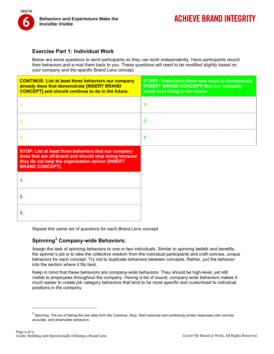

#### **Exercise Part 1: Individual Work**

Below are some questions to send participants so they can work independently. Have participants record their behaviors and e-mail them back to you. These questions will need to be modified slightly based on your company and the specific Brand Lens concept.

| <b>CONTINUE: List at least three behaviors our company</b><br>already does that demonstrate [INSERT BRAND<br><b>CONCEPT] and should continue to do in the future.</b>                        | <b>START: Brainstorm three new ways to demonstrate</b><br>[INSERT BRAND CONCEPT] that our company<br>could start doing in the future. |
|----------------------------------------------------------------------------------------------------------------------------------------------------------------------------------------------|---------------------------------------------------------------------------------------------------------------------------------------|
|                                                                                                                                                                                              | 1.                                                                                                                                    |
|                                                                                                                                                                                              | 2.                                                                                                                                    |
|                                                                                                                                                                                              | 3.                                                                                                                                    |
| STOP: List at least three behaviors that our company<br>does that are off-brand and should stop doing because<br>they do not help the organization deliver [INSERT<br><b>BRAND CONCEPT].</b> |                                                                                                                                       |
|                                                                                                                                                                                              |                                                                                                                                       |
|                                                                                                                                                                                              |                                                                                                                                       |
|                                                                                                                                                                                              |                                                                                                                                       |

*Repeat this same set of questions for each Brand Lens concept.* 

### **Spinning3 Company-wide Behaviors:**

Assign the task of spinning behaviors to one or two individuals. Similar to spinning beliefs and benefits, the spinner's job is to take the collective wisdom from the individual participants and craft concise, unique behaviors for each concept. Try not to duplicate behaviors between concepts. Rather, put the behavior into the section where it fits best.

Keep in mind that these behaviors are company-wide behaviors. They should be high-level, yet still visible to employees throughout the company. Having a list of sound, company-wide behaviors makes it much easier to create job category behaviors that tend to be more specific and customized to individual positions in the company.

 $^3$  Spinning: The act of taking the raw data from the Continue, Stop, Start exercise and combining similar responses into concise, accurate, and observable behaviors.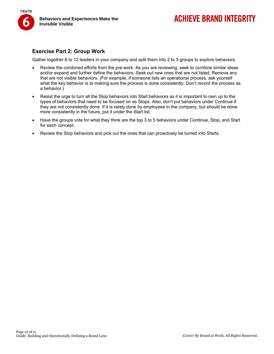

#### **Exercise Part 2: Group Work**

Gather together 6 to 12 leaders in your company and split them into 2 to 3 groups to explore behaviors.

- Review the combined efforts from the pre-work. As you are reviewing, seek to combine similar ideas and/or expand and further define the behaviors. Seek out new ones that are not listed. Remove any that are not visible behaviors. (For example, if someone lists an operational process, ask yourself what the key behavior is to making sure the process is done consistently. Don't record the process as a behavior.)
- Resist the urge to turn all the Stop behaviors into Start behaviors as it is important to own up to the types of behaviors that need to be focused on as Stops. Also, don't put behaviors under Continue if they are not consistently done. If it is rarely done by employees in the company, but should be done more consistently in the future, put it under the Start list.
- Have the groups vote for what they think are the top 3 to 5 behaviors under Continue, Stop, and Start for each concept.
- Review the Stop behaviors and pick out the ones that can proactively be turned into Starts.